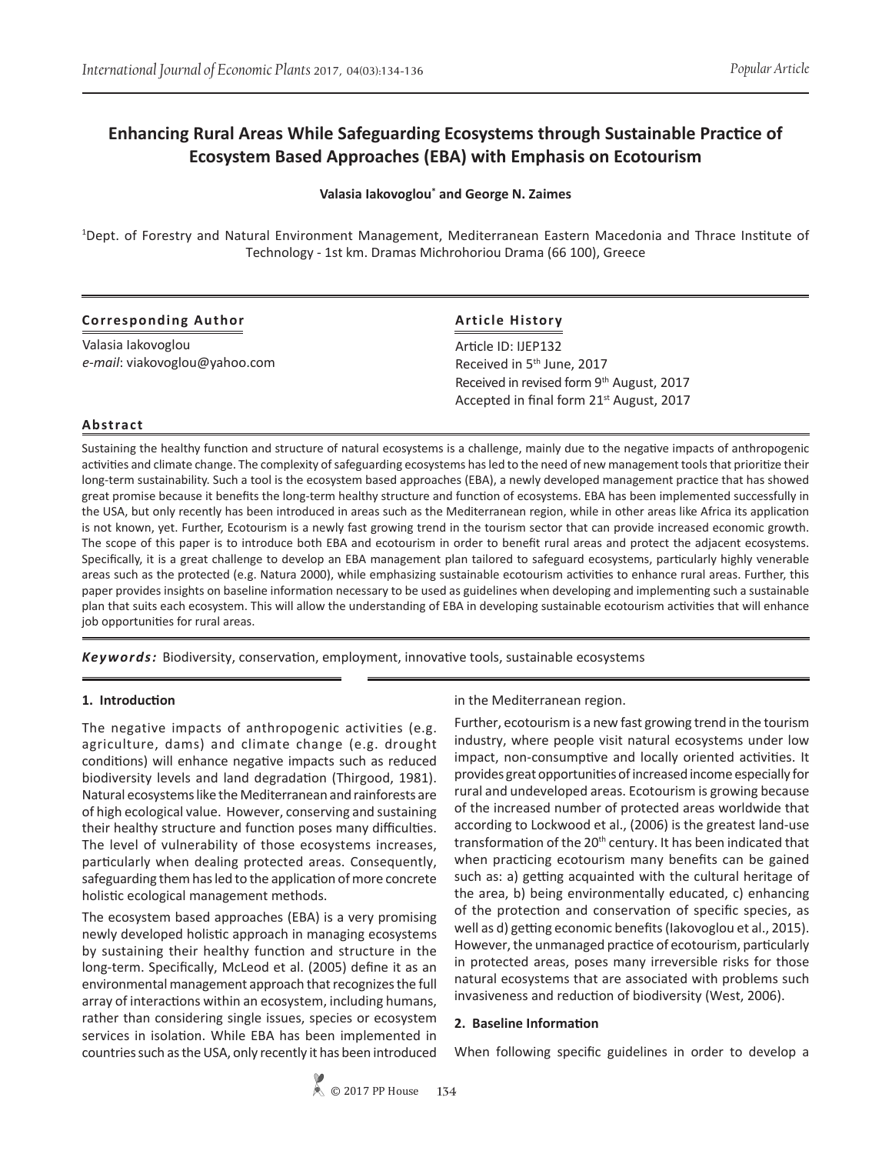# **Enhancing Rural Areas While Safeguarding Ecosystems through Sustainable Practice of Ecosystem Based Approaches (EBA) with Emphasis on Ecotourism**

**Valasia Iakovoglou\* and George N. Zaimes**

1 Dept. of Forestry and Natural Environment Management, Mediterranean Eastern Macedonia and Thrace Institute of Technology - 1st km. Dramas Michrohoriou Drama (66 100), Greece

| <b>Corresponding Author</b>   | <b>Article History</b>                               |
|-------------------------------|------------------------------------------------------|
| Valasia lakovoglou            | Article ID: IJEP132                                  |
| e-mail: viakovoglou@yahoo.com | Received in 5 <sup>th</sup> June, 2017               |
|                               | Received in revised form 9th August, 2017            |
|                               | Accepted in final form 21 <sup>st</sup> August, 2017 |

## **Abstract**

Sustaining the healthy function and structure of natural ecosystems is a challenge, mainly due to the negative impacts of anthropogenic activities and climate change. The complexity of safeguarding ecosystems has led to the need of new management tools that prioritize their long-term sustainability. Such a tool is the ecosystem based approaches (EBA), a newly developed management practice that has showed great promise because it benefits the long-term healthy structure and function of ecosystems. EBA has been implemented successfully in the USA, but only recently has been introduced in areas such as the Mediterranean region, while in other areas like Africa its application is not known, yet. Further, Ecotourism is a newly fast growing trend in the tourism sector that can provide increased economic growth. The scope of this paper is to introduce both EBA and ecotourism in order to benefit rural areas and protect the adjacent ecosystems. Specifically, it is a great challenge to develop an EBA management plan tailored to safeguard ecosystems, particularly highly venerable areas such as the protected (e.g. Natura 2000), while emphasizing sustainable ecotourism activities to enhance rural areas. Further, this paper provides insights on baseline information necessary to be used as guidelines when developing and implementing such a sustainable plan that suits each ecosystem. This will allow the understanding of EBA in developing sustainable ecotourism activities that will enhance job opportunities for rural areas.

*Keywords:* Biodiversity, conservation, employment, innovative tools, sustainable ecosystems

## **1. Introduction**

The negative impacts of anthropogenic activities (e.g. agriculture, dams) and climate change (e.g. drought conditions) will enhance negative impacts such as reduced biodiversity levels and land degradation (Thirgood, 1981). Natural ecosystems like the Mediterranean and rainforests are of high ecological value. However, conserving and sustaining their healthy structure and function poses many difficulties. The level of vulnerability of those ecosystems increases, particularly when dealing protected areas. Consequently, safeguarding them has led to the application of more concrete holistic ecological management methods.

The ecosystem based approaches (EBA) is a very promising newly developed holistic approach in managing ecosystems by sustaining their healthy function and structure in the long-term. Specifically, McLeod et al. (2005) define it as an environmental management approach that recognizes the full array of interactions within an ecosystem, including humans, rather than considering single issues, species or ecosystem services in isolation. While EBA has been implemented in countries such as the USA, only recently it has been introduced

in the Mediterranean region.

Further, ecotourism is a new fast growing trend in the tourism industry, where people visit natural ecosystems under low impact, non-consumptive and locally oriented activities. It provides great opportunities of increased income especially for rural and undeveloped areas. Ecotourism is growing because of the increased number of protected areas worldwide that according to Lockwood et al., (2006) is the greatest land-use transformation of the 20<sup>th</sup> century. It has been indicated that when practicing ecotourism many benefits can be gained such as: a) getting acquainted with the cultural heritage of the area, b) being environmentally educated, c) enhancing of the protection and conservation of specific species, as well as d) getting economic benefits (Iakovoglou et al., 2015). However, the unmanaged practice of ecotourism, particularly in protected areas, poses many irreversible risks for those natural ecosystems that are associated with problems such invasiveness and reduction of biodiversity (West, 2006).

#### **2. Baseline Information**

When following specific guidelines in order to develop a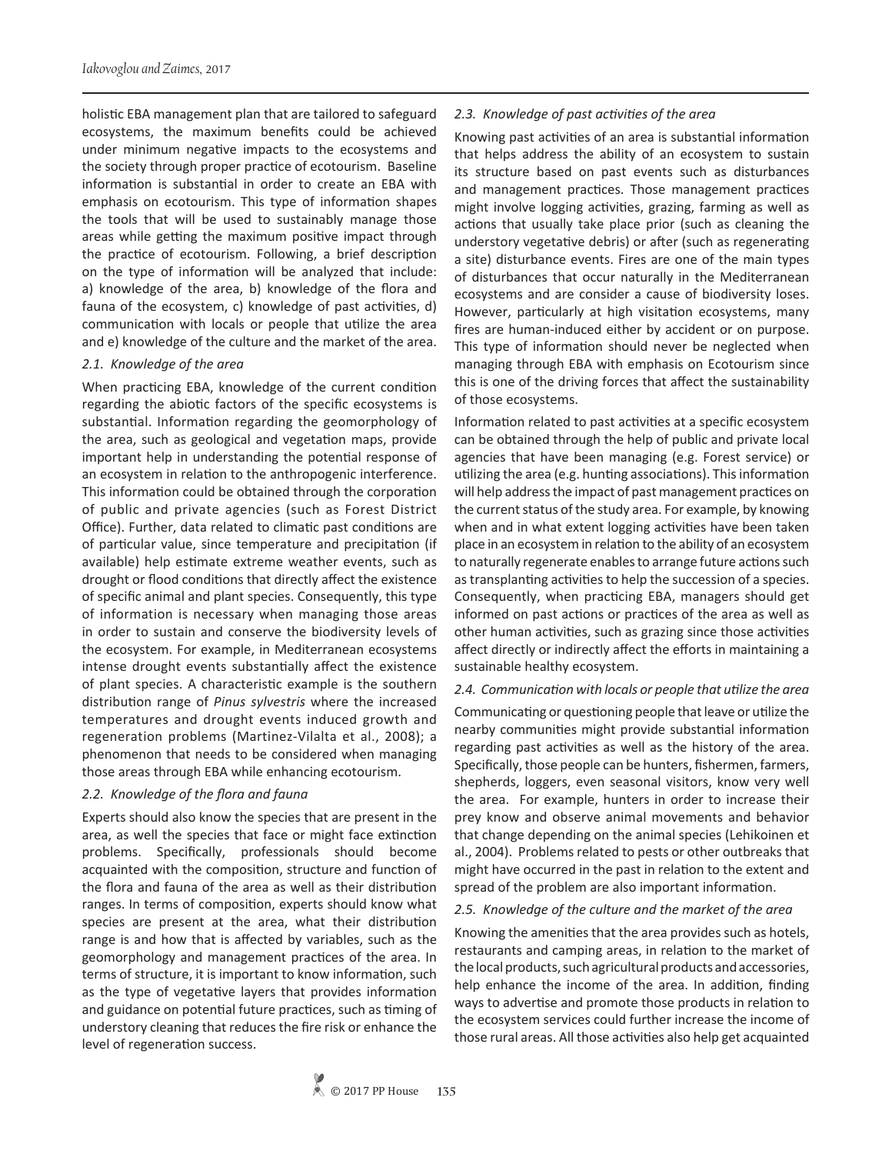holistic EBA management plan that are tailored to safeguard ecosystems, the maximum benefits could be achieved under minimum negative impacts to the ecosystems and the society through proper practice of ecotourism. Baseline information is substantial in order to create an EBA with emphasis on ecotourism. This type of information shapes the tools that will be used to sustainably manage those areas while getting the maximum positive impact through the practice of ecotourism. Following, a brief description on the type of information will be analyzed that include: a) knowledge of the area, b) knowledge of the flora and fauna of the ecosystem, c) knowledge of past activities, d) communication with locals or people that utilize the area and e) knowledge of the culture and the market of the area.

#### *2.1. Knowledge of the area*

When practicing EBA, knowledge of the current condition regarding the abiotic factors of the specific ecosystems is substantial. Information regarding the geomorphology of the area, such as geological and vegetation maps, provide important help in understanding the potential response of an ecosystem in relation to the anthropogenic interference. This information could be obtained through the corporation of public and private agencies (such as Forest District Office). Further, data related to climatic past conditions are of particular value, since temperature and precipitation (if available) help estimate extreme weather events, such as drought or flood conditions that directly affect the existence of specific animal and plant species. Consequently, this type of information is necessary when managing those areas in order to sustain and conserve the biodiversity levels of the ecosystem. For example, in Mediterranean ecosystems intense drought events substantially affect the existence of plant species. A characteristic example is the southern distribution range of *Pinus sylvestris* where the increased temperatures and drought events induced growth and regeneration problems (Martinez-Vilalta et al., 2008); a phenomenon that needs to be considered when managing those areas through EBA while enhancing ecotourism.

## *2.2. Knowledge of the flora and fauna*

Experts should also know the species that are present in the area, as well the species that face or might face extinction problems. Specifically, professionals should become acquainted with the composition, structure and function of the flora and fauna of the area as well as their distribution ranges. In terms of composition, experts should know what species are present at the area, what their distribution range is and how that is affected by variables, such as the geomorphology and management practices of the area. In terms of structure, it is important to know information, such as the type of vegetative layers that provides information and guidance on potential future practices, such as timing of understory cleaning that reduces the fire risk or enhance the level of regeneration success.

#### *2.3. Knowledge of past activities of the area*

Knowing past activities of an area is substantial information that helps address the ability of an ecosystem to sustain its structure based on past events such as disturbances and management practices. Those management practices might involve logging activities, grazing, farming as well as actions that usually take place prior (such as cleaning the understory vegetative debris) or after (such as regenerating a site) disturbance events. Fires are one of the main types of disturbances that occur naturally in the Mediterranean ecosystems and are consider a cause of biodiversity loses. However, particularly at high visitation ecosystems, many fires are human-induced either by accident or on purpose. This type of information should never be neglected when managing through EBA with emphasis on Ecotourism since this is one of the driving forces that affect the sustainability of those ecosystems.

Information related to past activities at a specific ecosystem can be obtained through the help of public and private local agencies that have been managing (e.g. Forest service) or utilizing the area (e.g. hunting associations). This information will help address the impact of past management practices on the current status of the study area. For example, by knowing when and in what extent logging activities have been taken place in an ecosystem in relation to the ability of an ecosystem to naturally regenerate enables to arrange future actions such as transplanting activities to help the succession of a species. Consequently, when practicing EBA, managers should get informed on past actions or practices of the area as well as other human activities, such as grazing since those activities affect directly or indirectly affect the efforts in maintaining a sustainable healthy ecosystem.

#### *2.4. Communication with locals or people that utilize the area*

Communicating or questioning people that leave or utilize the nearby communities might provide substantial information regarding past activities as well as the history of the area. Specifically, those people can be hunters, fishermen, farmers, shepherds, loggers, even seasonal visitors, know very well the area. For example, hunters in order to increase their prey know and observe animal movements and behavior that change depending on the animal species (Lehikoinen et al., 2004). Problems related to pests or other outbreaks that might have occurred in the past in relation to the extent and spread of the problem are also important information.

#### *2.5. Knowledge of the culture and the market of the area*

Knowing the amenities that the area provides such as hotels, restaurants and camping areas, in relation to the market of the local products, such agricultural products and accessories, help enhance the income of the area. In addition, finding ways to advertise and promote those products in relation to the ecosystem services could further increase the income of those rural areas. All those activities also help get acquainted